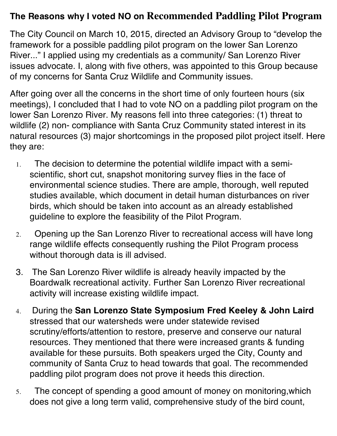## **The Reasons why I voted NO on Recommended Paddling Pilot Program**

The City Council on March 10, 2015, directed an Advisory Group to "develop the framework for a possible paddling pilot program on the lower San Lorenzo River..." I applied using my credentials as a community/ San Lorenzo River issues advocate. I, along with five others, was appointed to this Group because of my concerns for Santa Cruz Wildlife and Community issues.

After going over all the concerns in the short time of only fourteen hours (six meetings), I concluded that I had to vote NO on a paddling pilot program on the lower San Lorenzo River. My reasons fell into three categories: (1) threat to wildlife (2) non- compliance with Santa Cruz Community stated interest in its natural resources (3) major shortcomings in the proposed pilot project itself. Here they are:

- 1. The decision to determine the potential wildlife impact with a semiscientific, short cut, snapshot monitoring survey flies in the face of environmental science studies. There are ample, thorough, well reputed studies available, which document in detail human disturbances on river birds, which should be taken into account as an already established guideline to explore the feasibility of the Pilot Program.
- 2. Opening up the San Lorenzo River to recreational access will have long range wildlife effects consequently rushing the Pilot Program process without thorough data is ill advised.
- 3. The San Lorenzo River wildlife is already heavily impacted by the Boardwalk recreational activity. Further San Lorenzo River recreational activity will increase existing wildlife impact.
- 4. During the **San Lorenzo State Symposium Fred Keeley & John Laird**  stressed that our watersheds were under statewide revised scrutiny/efforts/attention to restore, preserve and conserve our natural resources. They mentioned that there were increased grants & funding available for these pursuits. Both speakers urged the City, County and community of Santa Cruz to head towards that goal. The recommended paddling pilot program does not prove it heeds this direction.
- 5. The concept of spending a good amount of money on monitoring,which does not give a long term valid, comprehensive study of the bird count,